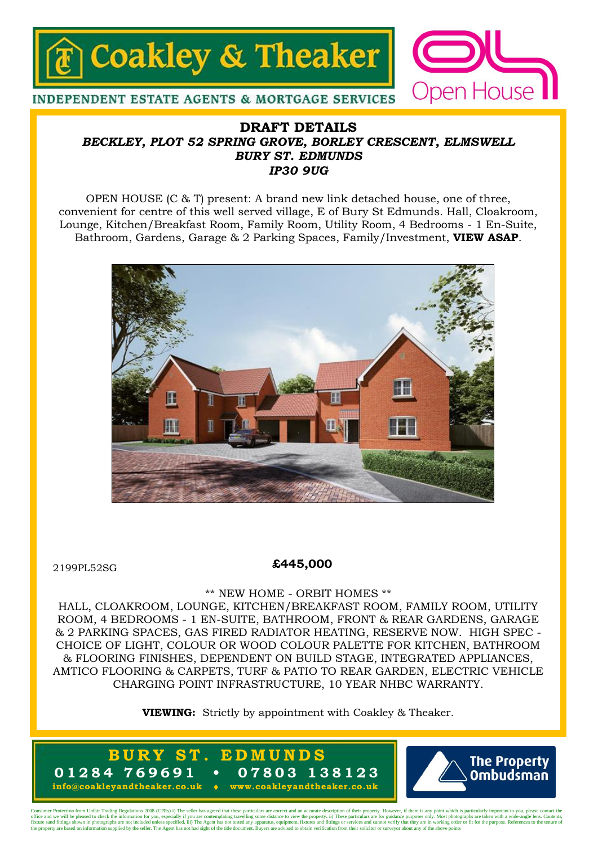

### **DRAFT DETAILS** *BECKLEY, PLOT 52 SPRING GROVE, BORLEY CRESCENT, ELMSWELL BURY ST. EDMUNDS IP30 9UG*

OPEN HOUSE (C & T) present: A brand new link detached house, one of three, convenient for centre of this well served village, E of Bury St Edmunds. Hall, Cloakroom, Lounge, Kitchen/Breakfast Room, Family Room, Utility Room, 4 Bedrooms - 1 En-Suite, Bathroom, Gardens, Garage & 2 Parking Spaces, Family/Investment, **VIEW ASAP**.



2199PL52SG

#### **£445,000**

#### \*\* NEW HOME - ORBIT HOMES \*\*

HALL, CLOAKROOM, LOUNGE, KITCHEN/BREAKFAST ROOM, FAMILY ROOM, UTILITY ROOM, 4 BEDROOMS - 1 EN-SUITE, BATHROOM, FRONT & REAR GARDENS, GARAGE & 2 PARKING SPACES, GAS FIRED RADIATOR HEATING, RESERVE NOW. HIGH SPEC - CHOICE OF LIGHT, COLOUR OR WOOD COLOUR PALETTE FOR KITCHEN, BATHROOM & FLOORING FINISHES, DEPENDENT ON BUILD STAGE, INTEGRATED APPLIANCES, AMTICO FLOORING & CARPETS, TURF & PATIO TO REAR GARDEN, ELECTRIC VEHICLE CHARGING POINT INFRASTRUCTURE, 10 YEAR NHBC WARRANTY.

**VIEWING:** Strictly by appointment with Coakley & Theaker.





Consumer Protection from Unfair Trading Regulations 2008 (CPRs) i) The seller has agreed that these particulars are correct and an accurate description of their property. However, if there is any point which is particularl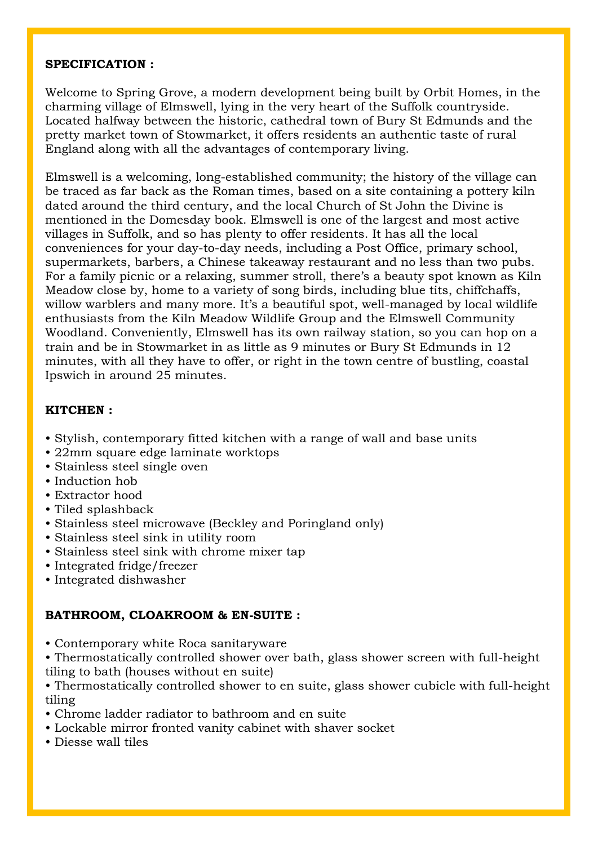#### **SPECIFICATION :**

Welcome to Spring Grove, a modern development being built by Orbit Homes, in the charming village of Elmswell, lying in the very heart of the Suffolk countryside. Located halfway between the historic, cathedral town of Bury St Edmunds and the pretty market town of Stowmarket, it offers residents an authentic taste of rural England along with all the advantages of contemporary living.

Elmswell is a welcoming, long-established community; the history of the village can be traced as far back as the Roman times, based on a site containing a pottery kiln dated around the third century, and the local Church of St John the Divine is mentioned in the Domesday book. Elmswell is one of the largest and most active villages in Suffolk, and so has plenty to offer residents. It has all the local conveniences for your day-to-day needs, including a Post Office, primary school, supermarkets, barbers, a Chinese takeaway restaurant and no less than two pubs. For a family picnic or a relaxing, summer stroll, there's a beauty spot known as Kiln Meadow close by, home to a variety of song birds, including blue tits, chiffchaffs, willow warblers and many more. It's a beautiful spot, well-managed by local wildlife enthusiasts from the Kiln Meadow Wildlife Group and the Elmswell Community Woodland. Conveniently, Elmswell has its own railway station, so you can hop on a train and be in Stowmarket in as little as 9 minutes or Bury St Edmunds in 12 minutes, with all they have to offer, or right in the town centre of bustling, coastal Ipswich in around 25 minutes.

### **KITCHEN :**

- Stylish, contemporary fitted kitchen with a range of wall and base units
- 22mm square edge laminate worktops
- Stainless steel single oven
- Induction hob
- Extractor hood
- Tiled splashback
- Stainless steel microwave (Beckley and Poringland only)
- Stainless steel sink in utility room
- Stainless steel sink with chrome mixer tap
- Integrated fridge/freezer
- Integrated dishwasher

### **BATHROOM, CLOAKROOM & EN-SUITE :**

• Contemporary white Roca sanitaryware

• Thermostatically controlled shower over bath, glass shower screen with full-height tiling to bath (houses without en suite)

• Thermostatically controlled shower to en suite, glass shower cubicle with full-height tiling

- Chrome ladder radiator to bathroom and en suite
- Lockable mirror fronted vanity cabinet with shaver socket
- Diesse wall tiles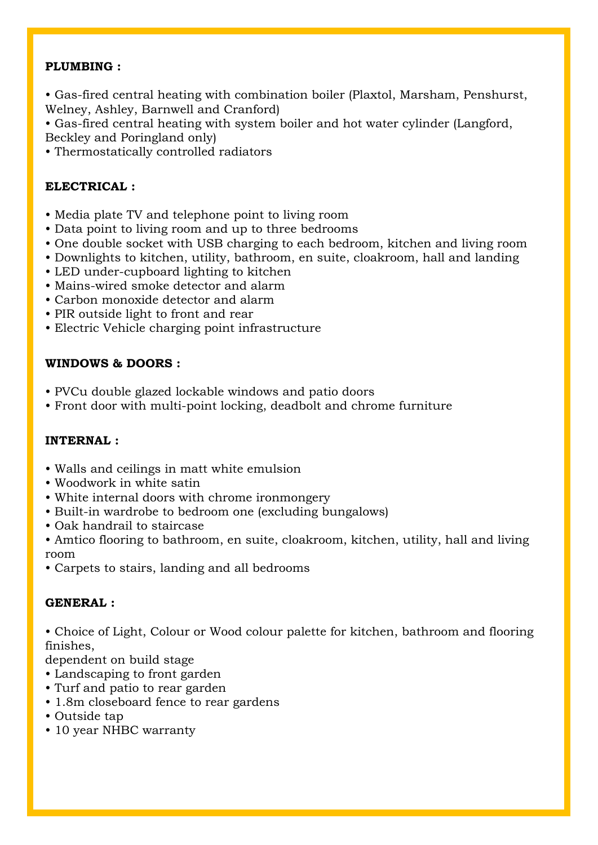### **PLUMBING :**

• Gas-fired central heating with combination boiler (Plaxtol, Marsham, Penshurst, Welney, Ashley, Barnwell and Cranford)

• Gas-fired central heating with system boiler and hot water cylinder (Langford, Beckley and Poringland only)

• Thermostatically controlled radiators

# **ELECTRICAL :**

- Media plate TV and telephone point to living room
- Data point to living room and up to three bedrooms
- One double socket with USB charging to each bedroom, kitchen and living room
- Downlights to kitchen, utility, bathroom, en suite, cloakroom, hall and landing
- LED under-cupboard lighting to kitchen
- Mains-wired smoke detector and alarm
- Carbon monoxide detector and alarm
- PIR outside light to front and rear
- Electric Vehicle charging point infrastructure

# **WINDOWS & DOORS :**

- PVCu double glazed lockable windows and patio doors
- Front door with multi-point locking, deadbolt and chrome furniture

# **INTERNAL :**

- Walls and ceilings in matt white emulsion
- Woodwork in white satin
- White internal doors with chrome ironmongery
- Built-in wardrobe to bedroom one (excluding bungalows)
- Oak handrail to staircase
- Amtico flooring to bathroom, en suite, cloakroom, kitchen, utility, hall and living room
- Carpets to stairs, landing and all bedrooms

# **GENERAL :**

• Choice of Light, Colour or Wood colour palette for kitchen, bathroom and flooring finishes,

dependent on build stage

- Landscaping to front garden
- Turf and patio to rear garden
- 1.8m closeboard fence to rear gardens
- Outside tap
- 10 year NHBC warranty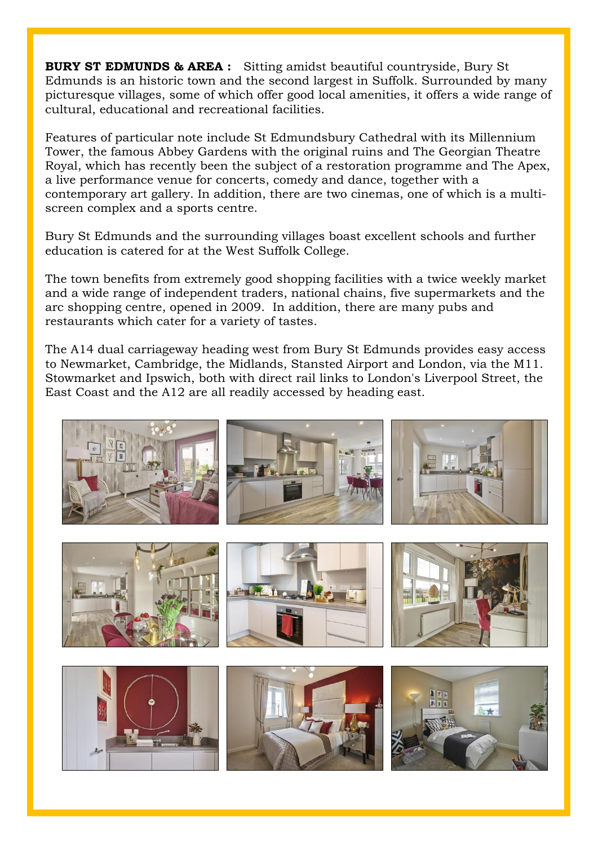**BURY ST EDMUNDS & AREA :** Sitting amidst beautiful countryside, Bury St Edmunds is an historic town and the second largest in Suffolk. Surrounded by many picturesque villages, some of which offer good local amenities, it offers a wide range of cultural, educational and recreational facilities.

Features of particular note include St Edmundsbury Cathedral with its Millennium Tower, the famous Abbey Gardens with the original ruins and The Georgian Theatre Royal, which has recently been the subject of a restoration programme and The Apex, a live performance venue for concerts, comedy and dance, together with a contemporary art gallery. In addition, there are two cinemas, one of which is a multiscreen complex and a sports centre.

Bury St Edmunds and the surrounding villages boast excellent schools and further education is catered for at the West Suffolk College.

The town benefits from extremely good shopping facilities with a twice weekly market and a wide range of independent traders, national chains, five supermarkets and the arc shopping centre, opened in 2009. In addition, there are many pubs and restaurants which cater for a variety of tastes.

The A14 dual carriageway heading west from Bury St Edmunds provides easy access to Newmarket, Cambridge, the Midlands, Stansted Airport and London, via the M11. Stowmarket and Ipswich, both with direct rail links to London's Liverpool Street, the East Coast and the A12 are all readily accessed by heading east.

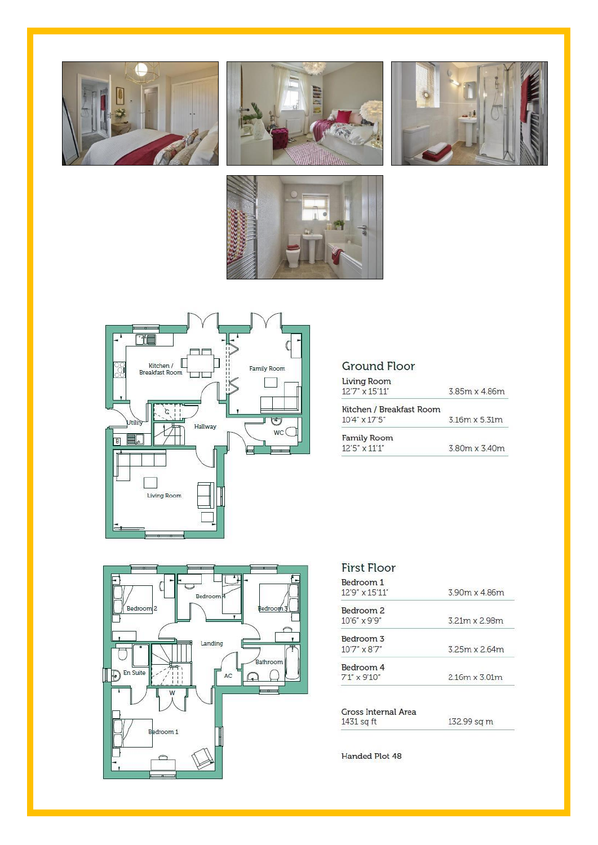









# **Ground Floor**

| <b>Living Room</b><br>12'7" x 15'11" | 385m x 486m          |
|--------------------------------------|----------------------|
| Kitchen / Breakfast Room             |                      |
| $10'4'' \times 17'5''$               | $3.16m \times 5.31m$ |
| <b>Family Room</b>                   |                      |
| $12'5'' \times 11'1''$               | 3.80m x 3.40m        |



| <b>First Floor</b>                   | 3.90m x 4.86m        |
|--------------------------------------|----------------------|
| Bedroom 1<br>$12'9'' \times 15'11''$ |                      |
| Bedroom <sub>2</sub>                 |                      |
| $10'6'' \times 9'9''$                | 321m x 2.98m         |
| Bedroom 3                            |                      |
| $10'7'' \times 8'7''$                | 325m x 2.64m         |
| Bedroom 4                            |                      |
| $7'1'' \times 9'10''$                | $2.16m \times 3.01m$ |

| Gross Internal Area |             |
|---------------------|-------------|
| 1431 sq ft          | 132.99 sq m |

Handed Plot 48